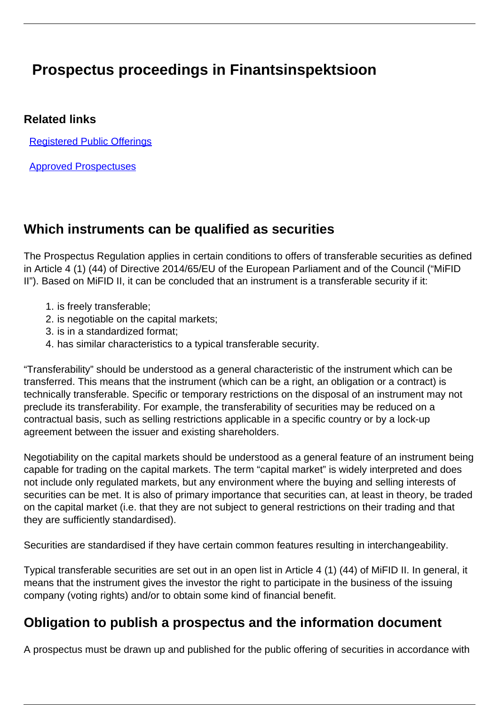# **Prospectus proceedings in Finantsinspektsioon**

#### **Related links**

[Registered Public Offerings](/en/investment/registers/registered-public-offerings)

[Approved Prospectuses](/en/investment/registers/registered-public-offerings/approved-prospectuses)

#### **Which instruments can be qualified as securities**

The Prospectus Regulation applies in certain conditions to offers of transferable securities as defined in Article 4 (1) (44) of Directive 2014/65/EU of the European Parliament and of the Council ("MiFID II"). Based on MiFID II, it can be concluded that an instrument is a transferable security if it:

- 1. is freely transferable;
- 2. is negotiable on the capital markets;
- 3. is in a standardized format;
- 4. has similar characteristics to a typical transferable security.

"Transferability" should be understood as a general characteristic of the instrument which can be transferred. This means that the instrument (which can be a right, an obligation or a contract) is technically transferable. Specific or temporary restrictions on the disposal of an instrument may not preclude its transferability. For example, the transferability of securities may be reduced on a contractual basis, such as selling restrictions applicable in a specific country or by a lock-up agreement between the issuer and existing shareholders.

Negotiability on the capital markets should be understood as a general feature of an instrument being capable for trading on the capital markets. The term "capital market" is widely interpreted and does not include only regulated markets, but any environment where the buying and selling interests of securities can be met. It is also of primary importance that securities can, at least in theory, be traded on the capital market (i.e. that they are not subject to general restrictions on their trading and that they are sufficiently standardised).

Securities are standardised if they have certain common features resulting in interchangeability.

Typical transferable securities are set out in an open list in Article 4 (1) (44) of MiFID II. In general, it means that the instrument gives the investor the right to participate in the business of the issuing company (voting rights) and/or to obtain some kind of financial benefit.

#### **Obligation to publish a prospectus and the information document**

A prospectus must be drawn up and published for the public offering of securities in accordance with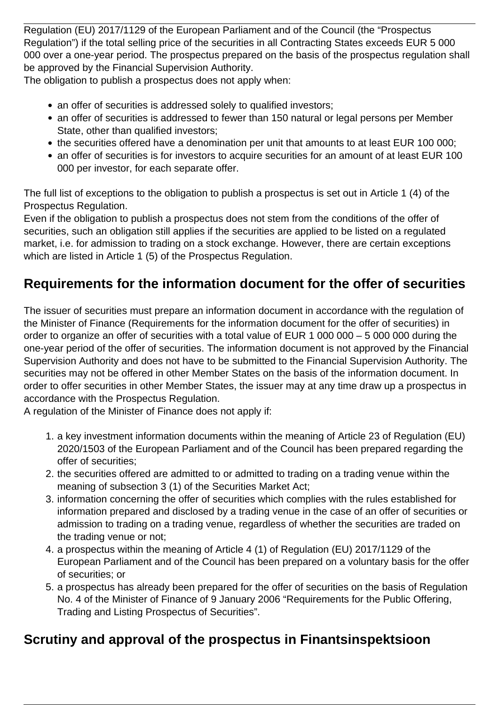Regulation (EU) 2017/1129 of the European Parliament and of the Council (the "Prospectus Regulation") if the total selling price of the securities in all Contracting States exceeds EUR 5 000 000 over a one-year period. The prospectus prepared on the basis of the prospectus regulation shall be approved by the Financial Supervision Authority.

The obligation to publish a prospectus does not apply when:

- an offer of securities is addressed solely to qualified investors;
- an offer of securities is addressed to fewer than 150 natural or legal persons per Member State, other than qualified investors;
- the securities offered have a denomination per unit that amounts to at least EUR 100 000;
- an offer of securities is for investors to acquire securities for an amount of at least EUR 100 000 per investor, for each separate offer.

The full list of exceptions to the obligation to publish a prospectus is set out in Article 1 (4) of the Prospectus Regulation.

Even if the obligation to publish a prospectus does not stem from the conditions of the offer of securities, such an obligation still applies if the securities are applied to be listed on a regulated market, i.e. for admission to trading on a stock exchange. However, there are certain exceptions which are listed in Article 1 (5) of the Prospectus Regulation.

# **Requirements for the information document for the offer of securities**

The issuer of securities must prepare an information document in accordance with the regulation of the Minister of Finance (Requirements for the information document for the offer of securities) in order to organize an offer of securities with a total value of EUR 1 000 000 – 5 000 000 during the one-year period of the offer of securities. The information document is not approved by the Financial Supervision Authority and does not have to be submitted to the Financial Supervision Authority. The securities may not be offered in other Member States on the basis of the information document. In order to offer securities in other Member States, the issuer may at any time draw up a prospectus in accordance with the Prospectus Regulation.

A regulation of the Minister of Finance does not apply if:

- 1. a key investment information documents within the meaning of Article 23 of Regulation (EU) 2020/1503 of the European Parliament and of the Council has been prepared regarding the offer of securities;
- 2. the securities offered are admitted to or admitted to trading on a trading venue within the meaning of subsection 3 (1) of the Securities Market Act;
- 3. information concerning the offer of securities which complies with the rules established for information prepared and disclosed by a trading venue in the case of an offer of securities or admission to trading on a trading venue, regardless of whether the securities are traded on the trading venue or not;
- 4. a prospectus within the meaning of Article 4 (1) of Regulation (EU) 2017/1129 of the European Parliament and of the Council has been prepared on a voluntary basis for the offer of securities; or
- 5. a prospectus has already been prepared for the offer of securities on the basis of Regulation No. 4 of the Minister of Finance of 9 January 2006 "Requirements for the Public Offering, Trading and Listing Prospectus of Securities".

# **Scrutiny and approval of the prospectus in Finantsinspektsioon**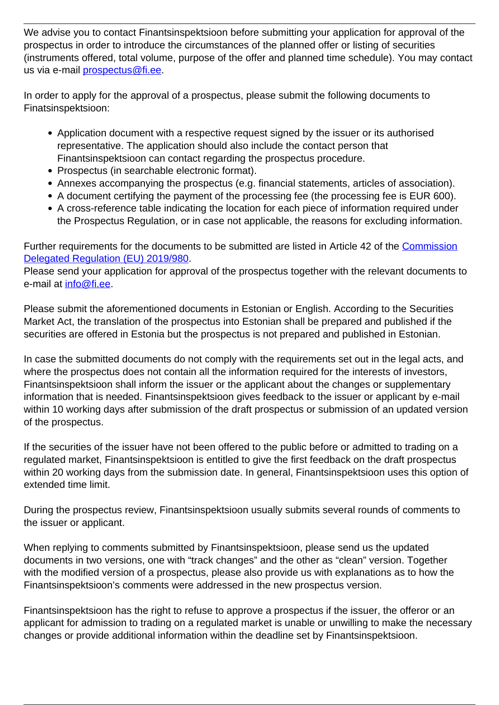We advise you to contact Finantsinspektsioon before submitting your application for approval of the prospectus in order to introduce the circumstances of the planned offer or listing of securities (instruments offered, total volume, purpose of the offer and planned time schedule). You may contact us via e-mail [prospectus@fi.ee.](mailto:prospectus@fi.ee)

In order to apply for the approval of a prospectus, please submit the following documents to Finatsinspektsioon:

- Application document with a respective request signed by the issuer or its authorised representative. The application should also include the contact person that Finantsinspektsioon can contact regarding the prospectus procedure.
- Prospectus (in searchable electronic format).
- Annexes accompanying the prospectus (e.g. financial statements, articles of association).
- A document certifying the payment of the processing fee (the processing fee is EUR 600).
- A cross-reference table indicating the location for each piece of information required under the Prospectus Regulation, or in case not applicable, the reasons for excluding information.

Further requirements for the documents to be submitted are listed in Article 42 of the [Commission](https://eur-lex.europa.eu/legal-content/EN/TXT/?uri=CELEX:32019R0980) [Delegated Regulation \(EU\) 2019/980](https://eur-lex.europa.eu/legal-content/EN/TXT/?uri=CELEX:32019R0980).

Please send your application for approval of the prospectus together with the relevant documents to e-mail at [info@fi.ee.](mailto:info@fi.ee)

Please submit the aforementioned documents in Estonian or English. According to the Securities Market Act, the translation of the prospectus into Estonian shall be prepared and published if the securities are offered in Estonia but the prospectus is not prepared and published in Estonian.

In case the submitted documents do not comply with the requirements set out in the legal acts, and where the prospectus does not contain all the information required for the interests of investors, Finantsinspektsioon shall inform the issuer or the applicant about the changes or supplementary information that is needed. Finantsinspektsioon gives feedback to the issuer or applicant by e-mail within 10 working days after submission of the draft prospectus or submission of an updated version of the prospectus.

If the securities of the issuer have not been offered to the public before or admitted to trading on a regulated market, Finantsinspektsioon is entitled to give the first feedback on the draft prospectus within 20 working days from the submission date. In general, Finantsinspektsioon uses this option of extended time limit.

During the prospectus review, Finantsinspektsioon usually submits several rounds of comments to the issuer or applicant.

When replying to comments submitted by Finantsinspektsioon, please send us the updated documents in two versions, one with "track changes" and the other as "clean" version. Together with the modified version of a prospectus, please also provide us with explanations as to how the Finantsinspektsioon's comments were addressed in the new prospectus version.

Finantsinspektsioon has the right to refuse to approve a prospectus if the issuer, the offeror or an applicant for admission to trading on a regulated market is unable or unwilling to make the necessary changes or provide additional information within the deadline set by Finantsinspektsioon.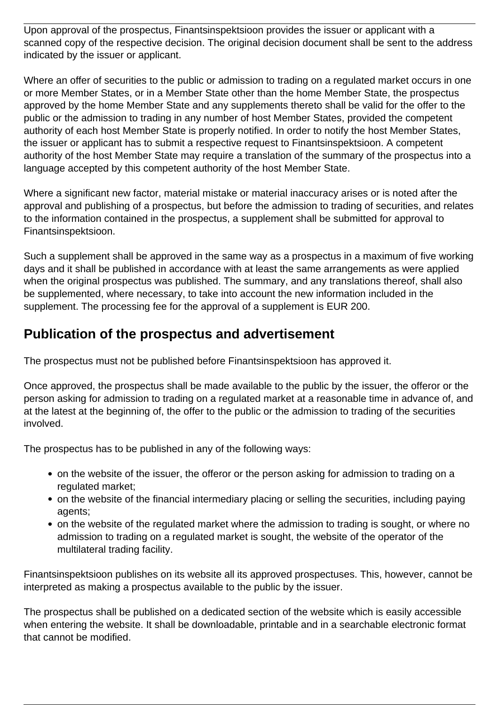Upon approval of the prospectus, Finantsinspektsioon provides the issuer or applicant with a scanned copy of the respective decision. The original decision document shall be sent to the address indicated by the issuer or applicant.

Where an offer of securities to the public or admission to trading on a regulated market occurs in one or more Member States, or in a Member State other than the home Member State, the prospectus approved by the home Member State and any supplements thereto shall be valid for the offer to the public or the admission to trading in any number of host Member States, provided the competent authority of each host Member State is properly notified. In order to notify the host Member States, the issuer or applicant has to submit a respective request to Finantsinspektsioon. A competent authority of the host Member State may require a translation of the summary of the prospectus into a language accepted by this competent authority of the host Member State.

Where a significant new factor, material mistake or material inaccuracy arises or is noted after the approval and publishing of a prospectus, but before the admission to trading of securities, and relates to the information contained in the prospectus, a supplement shall be submitted for approval to Finantsinspektsioon.

Such a supplement shall be approved in the same way as a prospectus in a maximum of five working days and it shall be published in accordance with at least the same arrangements as were applied when the original prospectus was published. The summary, and any translations thereof, shall also be supplemented, where necessary, to take into account the new information included in the supplement. The processing fee for the approval of a supplement is EUR 200.

#### **Publication of the prospectus and advertisement**

The prospectus must not be published before Finantsinspektsioon has approved it.

Once approved, the prospectus shall be made available to the public by the issuer, the offeror or the person asking for admission to trading on a regulated market at a reasonable time in advance of, and at the latest at the beginning of, the offer to the public or the admission to trading of the securities involved.

The prospectus has to be published in any of the following ways:

- on the website of the issuer, the offeror or the person asking for admission to trading on a regulated market;
- on the website of the financial intermediary placing or selling the securities, including paying agents;
- on the website of the regulated market where the admission to trading is sought, or where no admission to trading on a regulated market is sought, the website of the operator of the multilateral trading facility.

Finantsinspektsioon publishes on its website all its approved prospectuses. This, however, cannot be interpreted as making a prospectus available to the public by the issuer.

The prospectus shall be published on a dedicated section of the website which is easily accessible when entering the website. It shall be downloadable, printable and in a searchable electronic format that cannot be modified.